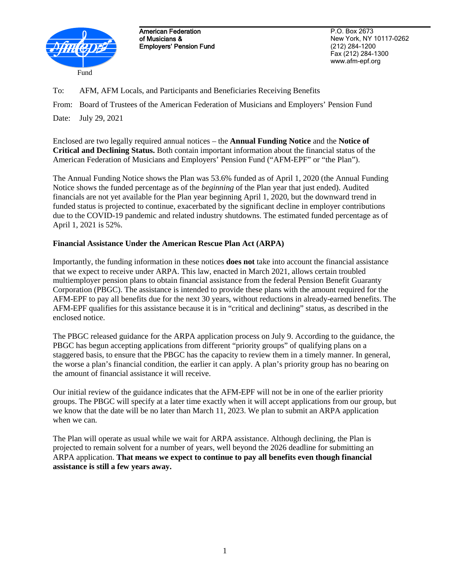

American Federation of Musicians & Employers' Pension Fund

P.O. Box 2673 New York, NY 10117-0262 (212) 284-1200 Fax (212) 284-1300 www.afm-epf.org

To: AFM, AFM Locals, and Participants and Beneficiaries Receiving Benefits

From: Board of Trustees of the American Federation of Musicians and Employers' Pension Fund

Date: July 29, 2021

Enclosed are two legally required annual notices – the **Annual Funding Notice** and the **Notice of Critical and Declining Status.** Both contain important information about the financial status of the American Federation of Musicians and Employers' Pension Fund ("AFM-EPF" or "the Plan").

The Annual Funding Notice shows the Plan was 53.6% funded as of April 1, 2020 (the Annual Funding Notice shows the funded percentage as of the *beginning* of the Plan year that just ended). Audited financials are not yet available for the Plan year beginning April 1, 2020, but the downward trend in funded status is projected to continue, exacerbated by the significant decline in employer contributions due to the COVID-19 pandemic and related industry shutdowns. The estimated funded percentage as of April 1, 2021 is 52%.

## **Financial Assistance Under the American Rescue Plan Act (ARPA)**

Importantly, the funding information in these notices **does not** take into account the financial assistance that we expect to receive under ARPA. This law, enacted in March 2021, allows certain troubled multiemployer pension plans to obtain financial assistance from the federal Pension Benefit Guaranty Corporation (PBGC). The assistance is intended to provide these plans with the amount required for the AFM-EPF to pay all benefits due for the next 30 years, without reductions in already-earned benefits. The AFM-EPF qualifies for this assistance because it is in "critical and declining" status, as described in the enclosed notice.

The PBGC released guidance for the ARPA application process on July 9. According to the guidance, the PBGC has begun accepting applications from different "priority groups" of qualifying plans on a staggered basis, to ensure that the PBGC has the capacity to review them in a timely manner. In general, the worse a plan's financial condition, the earlier it can apply. A plan's priority group has no bearing on the amount of financial assistance it will receive.

Our initial review of the guidance indicates that the AFM-EPF will not be in one of the earlier priority groups. The PBGC will specify at a later time exactly when it will accept applications from our group, but we know that the date will be no later than March 11, 2023. We plan to submit an ARPA application when we can.

The Plan will operate as usual while we wait for ARPA assistance. Although declining, the Plan is projected to remain solvent for a number of years, well beyond the 2026 deadline for submitting an ARPA application. **That means we expect to continue to pay all benefits even though financial assistance is still a few years away.**